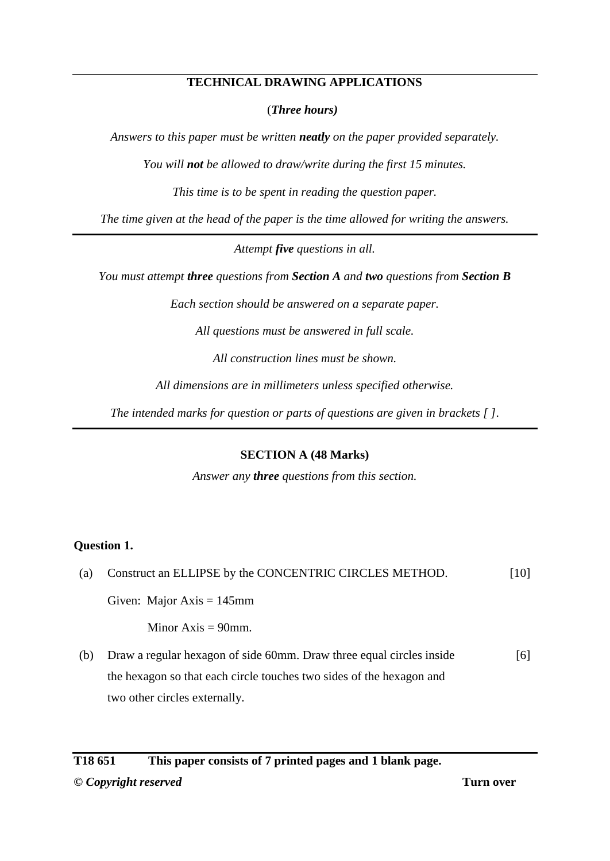# **TECHNICAL DRAWING APPLICATIONS**

(*Three hours)*

*Answers to this paper must be written neatly on the paper provided separately.*

*You will not be allowed to draw/write during the first 15 minutes.*

*This time is to be spent in reading the question paper.*

*The time given at the head of the paper is the time allowed for writing the answers.*

*Attempt five questions in all.*

*You must attempt three questions from Section A and two questions from Section B* 

*Each section should be answered on a separate paper.*

*All questions must be answered in full scale.*

*All construction lines must be shown.*

*All dimensions are in millimeters unless specified otherwise.*

*The intended marks for question or parts of questions are given in brackets [ ].*

**SECTION A (48 Marks)**

*Answer any three questions from this section.*

# **Question 1.**

| (a) | Construct an ELLIPSE by the CONCENTRIC CIRCLES METHOD. | [10] |
|-----|--------------------------------------------------------|------|
|     | Given: Major Axis = $145$ mm                           |      |
|     | Minor $Axis = 90$ mm.                                  |      |

(b) Draw a regular hexagon of side 60mm. Draw three equal circles inside the hexagon so that each circle touches two sides of the hexagon and two other circles externally. [6]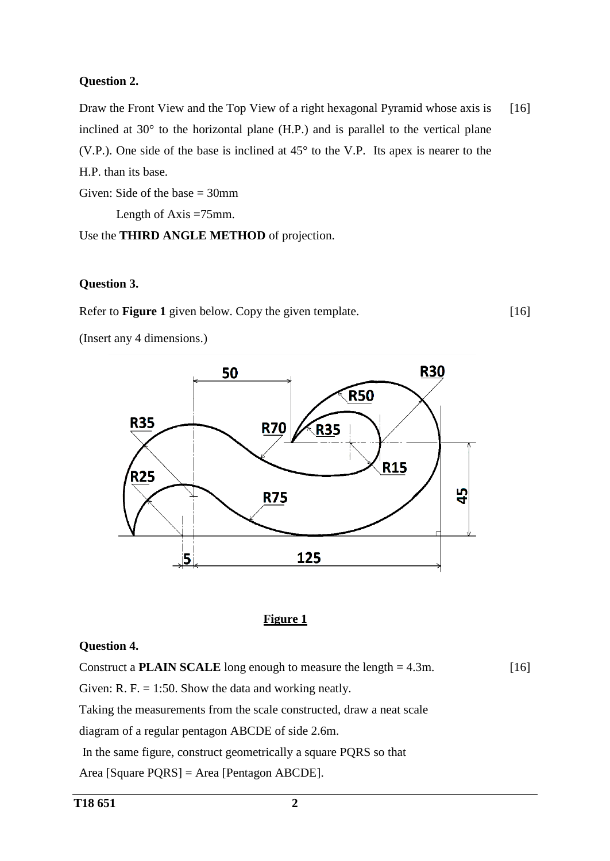### **Question 2.**

Draw the Front View and the Top View of a right hexagonal Pyramid whose axis is inclined at  $30^{\circ}$  to the horizontal plane (H.P.) and is parallel to the vertical plane (V.P.). One side of the base is inclined at 45° to the V.P. Its apex is nearer to the H.P. than its base. [16]

[16]

Given: Side of the base  $= 30$ mm Length of Axis =75mm. Use the **THIRD ANGLE METHOD** of projection.

### **Question 3.**

Refer to **Figure 1** given below. Copy the given template.

(Insert any 4 dimensions.)



#### **Figure 1**

#### **Question 4.**

Construct a **PLAIN SCALE** long enough to measure the length = 4.3m. Given: R. F.  $= 1:50$ . Show the data and working neatly. Taking the measurements from the scale constructed, draw a neat scale diagram of a regular pentagon ABCDE of side 2.6m. In the same figure, construct geometrically a square PQRS so that [16]

Area [Square PQRS] = Area [Pentagon ABCDE].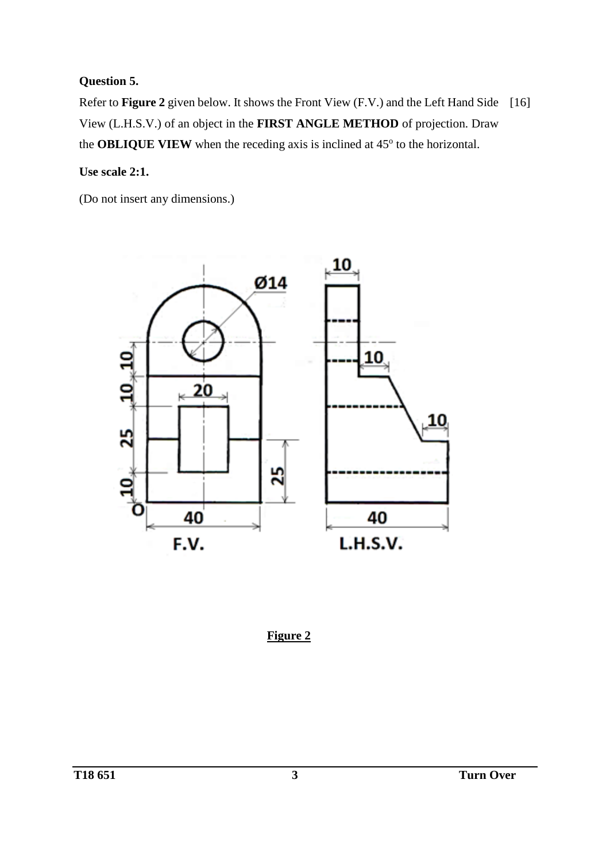# **Question 5.**

Refer to **Figure 2** given below. It shows the Front View (F.V.) and the Left Hand Side [16]View (L.H.S.V.) of an object in the **FIRST ANGLE METHOD** of projection. Draw the **OBLIQUE VIEW** when the receding axis is inclined at  $45^\circ$  to the horizontal.

**Use scale 2:1.**

(Do not insert any dimensions.)



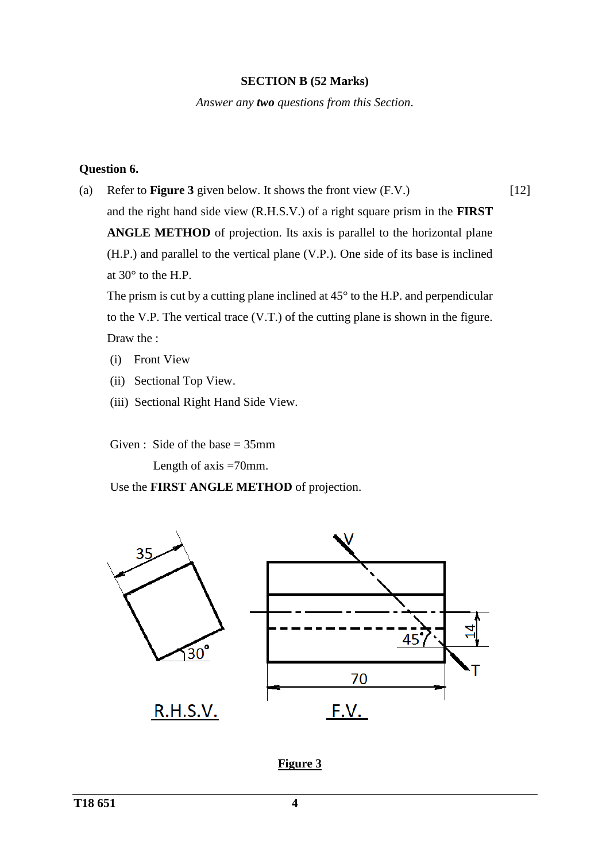### **SECTION B (52 Marks)**

*Answer any two questions from this Section*.

# **Question 6.**

(a) Refer to **Figure 3** given below. It shows the front view (F.V.) and the right hand side view (R.H.S.V.) of a right square prism in the **FIRST ANGLE METHOD** of projection. Its axis is parallel to the horizontal plane (H.P.) and parallel to the vertical plane (V.P.). One side of its base is inclined at 30° to the H.P. [12]

The prism is cut by a cutting plane inclined at 45° to the H.P. and perpendicular to the V.P. The vertical trace (V.T.) of the cutting plane is shown in the figure. Draw the :

- (i) Front View
- (ii) Sectional Top View.
- (iii) Sectional Right Hand Side View.

Given : Side of the base  $= 35$ mm

Length of axis =70mm.

Use the **FIRST ANGLE METHOD** of projection.



**Figure 3**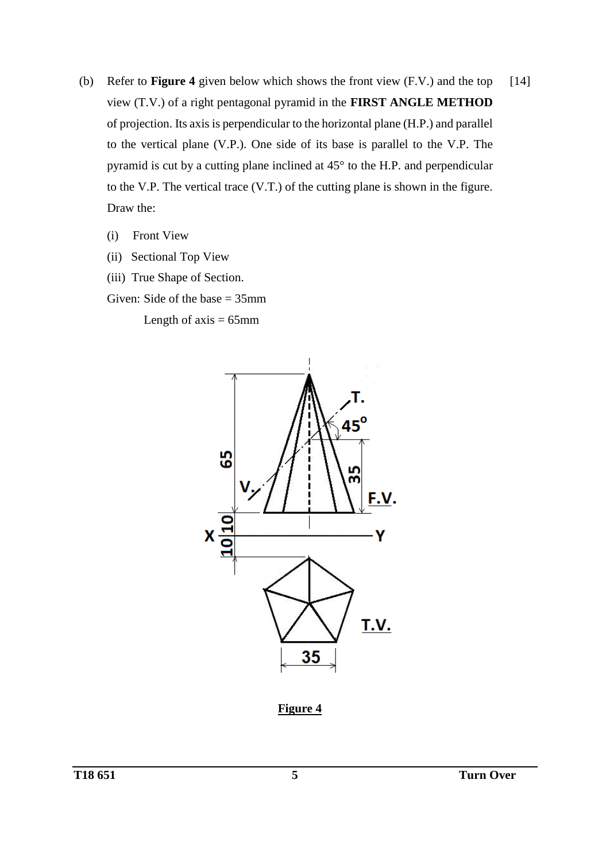- (b) Refer to **Figure 4** given below which shows the front view (F.V.) and the top view (T.V.) of a right pentagonal pyramid in the **FIRST ANGLE METHOD** of projection. Its axis is perpendicular to the horizontal plane (H.P.) and parallel to the vertical plane (V.P.). One side of its base is parallel to the V.P. The pyramid is cut by a cutting plane inclined at 45° to the H.P. and perpendicular to the V.P. The vertical trace (V.T.) of the cutting plane is shown in the figure. Draw the: [14]
	- (i) Front View
	- (ii) Sectional Top View
	- (iii) True Shape of Section.
	- Given: Side of the base  $= 35$ mm

Length of  $axis = 65$ mm



**Figure 4**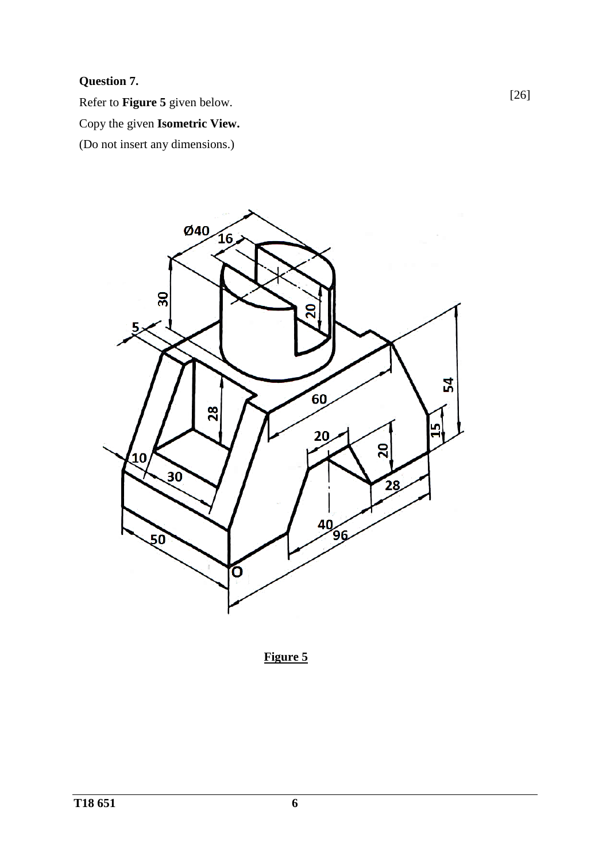# **Question 7.**

Refer to **Figure 5** given below.

Copy the given **Isometric View.**

(Do not insert any dimensions.)



**Figure 5**